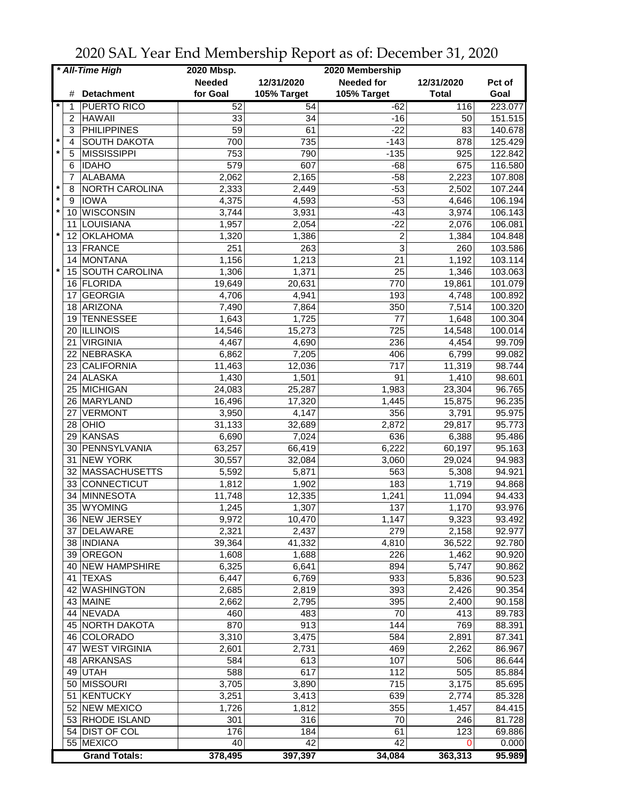| * All-Time High |    |                              | 2020 Mbsp.    |             | 2020 Membership   |                    |                  |
|-----------------|----|------------------------------|---------------|-------------|-------------------|--------------------|------------------|
|                 |    |                              | <b>Needed</b> | 12/31/2020  | <b>Needed for</b> | 12/31/2020         | Pct of           |
|                 | #  | <b>Detachment</b>            | for Goal      | 105% Target | 105% Target       | <b>Total</b>       | Goal             |
| $\star$         | 1  | <b>PUERTO RICO</b>           | 52            | 54          | $-62$             | 116                | 223.077          |
|                 | 2  | <b>HAWAII</b>                | 33            | 34          | $-16$             | 50                 | 151.515          |
|                 | 3  | <b>PHILIPPINES</b>           | 59            | 61          | $-22$             | 83                 | 140.678          |
| $\star$         | 4  | <b>SOUTH DAKOTA</b>          | 700           | 735         | $-143$            | 878                | 125.429          |
|                 | 5  | <b>MISSISSIPPI</b>           | 753           | 790         | $-135$            | 925                | 122.842          |
|                 | 6  | <b>IDAHO</b>                 | 579           | 607         | $-68$             | 675                | 116.580          |
|                 | 7  | <b>ALABAMA</b>               | 2,062         | 2,165       | $-58$             | 2,223              | 107.808          |
| $\ast$          | 8  | NORTH CAROLINA               | 2,333         | 2,449       | $-53$             | 2,502              | 107.244          |
| $\pmb{\ast}$    | 9  | <b>IOWA</b>                  | 4,375         | 4,593       | $-53$             | 4,646              | 106.194          |
| $\star$         | 10 | WISCONSIN                    | 3,744         | 3,931       | $-43$             | 3,974              | 106.143          |
|                 | 11 | LOUISIANA                    | 1,957         | 2,054       | $-22$             | 2,076              | 106.081          |
| $\star$         | 12 | <b>OKLAHOMA</b>              | 1,320         |             | $\overline{c}$    | 1,384              | 104.848          |
|                 |    |                              |               | 1,386       | 3                 |                    |                  |
|                 | 13 | FRANCE                       | 251           | 263         |                   | 260                | 103.586          |
| $\star$         | 14 | <b>MONTANA</b>               | 1,156         | 1,213       | 21                | 1,192              | 103.114          |
|                 | 15 | <b>SOUTH CAROLINA</b>        | 1,306         | 1,371       | 25                | 1,346              | 103.063          |
|                 | 16 | <b>FLORIDA</b>               | 19,649        | 20,631      | 770               | 19,861             | 101.079          |
|                 | 17 | <b>GEORGIA</b>               | 4,706         | 4,941       | 193               | 4,748              | 100.892          |
|                 | 18 | ARIZONA                      | 7,490         | 7,864       | 350               | 7,514              | 100.320          |
|                 | 19 | <b>TENNESSEE</b>             | 1,643         | 1,725       | 77                | 1,648              | 100.304          |
|                 |    | 20 ILLINOIS                  | 14,546        | 15,273      | 725               | 14,548             | 100.014          |
|                 | 21 | <b>VIRGINIA</b>              | 4,467         | 4,690       | 236               | 4,454              | 99.709           |
|                 | 22 | NEBRASKA                     | 6,862         | 7,205       | 406               | 6,799              | 99.082           |
|                 | 23 | CALIFORNIA                   | 11,463        | 12,036      | $\overline{717}$  | 11,319             | 98.744           |
|                 |    | 24 ALASKA                    | 1,430         | 1,501       | $\overline{91}$   | 1,410              | 98.601           |
|                 |    | 25 MICHIGAN                  | 24,083        | 25,287      | 1,983             | 23,304             | 96.765           |
|                 |    | 26 MARYLAND                  | 16,496        | 17,320      | 1,445             | 15,875             | 96.235           |
|                 | 27 | <b>VERMONT</b>               | 3,950         | 4,147       | 356               | 3,791              | 95.975           |
|                 | 28 | OHIO                         | 31,133        | 32,689      | 2,872             | 29,817             | 95.773           |
|                 | 29 | KANSAS                       | 6,690         | 7,024       | 636               | 6,388              | 95.486           |
|                 | 30 | PENNSYLVANIA                 | 63,257        | 66,419      | 6,222             | 60,197             | 95.163           |
|                 | 31 | <b>NEW YORK</b>              | 30,557        | 32,084      | 3,060             | 29,024             | 94.983           |
|                 |    | 32 MASSACHUSETTS             | 5,592         | 5,871       | 563               | 5,308              | 94.921           |
|                 | 33 | CONNECTICUT                  | 1,812         | 1,902       | 183               | 1,719              | 94.868           |
|                 | 34 | MINNESOTA                    | 11,748        | 12,335      | 1,241             | 11,094             | 94.433           |
|                 | 35 | <b>WYOMING</b>               | 1,245         | 1,307       | 137               | 1,170              | 93.976           |
|                 |    | 36 NEW JERSEY                | 9,972         | 10,470      | 1,147             | 9,323              | 93.492           |
|                 |    | 37 DELAWARE                  | 2,321         | 2,437       | 279               | 2,158              | 92.977           |
|                 |    | 38 INDIANA                   | 39,364        | 41,332      | 4,810             | 36,522             | 92.780           |
|                 |    | 39 OREGON                    | 1,608         | 1,688       | 226               | 1,462              | 90.920           |
|                 |    | 40 NEW HAMPSHIRE             | 6,325         | 6,641       | 894               | 5,747              | 90.862           |
|                 |    | 41 TEXAS                     | 6,447         | 6,769       | 933               | 5,836              | 90.523           |
|                 |    |                              |               |             | 393               |                    |                  |
|                 |    | 42 WASHINGTON                | 2,685         | 2,819       | 395               | 2,426              | 90.354<br>90.158 |
|                 |    | 43 MAINE                     | 2,662         | 2,795       |                   | 2,400              |                  |
|                 |    | 44 NEVADA<br>45 NORTH DAKOTA | 460           | 483<br>913  | 70                | 413                | 89.783           |
|                 |    |                              | 870           |             | 144               | 769                | 88.391           |
|                 |    | 46 COLORADO                  | 3,310         | 3,475       | 584               | $\overline{2,891}$ | 87.341           |
|                 |    | 47 WEST VIRGINIA             | 2,601         | 2,731       | 469               | 2,262              | 86.967           |
|                 |    | 48 ARKANSAS                  | 584           | 613         | 107               | 506                | 86.644           |
|                 |    | 49 UTAH                      | 588           | 617         | 112               | 505                | 85.884           |
|                 |    | 50 MISSOURI                  | 3,705         | 3,890       | 715               | 3,175              | 85.695           |
|                 | 51 | KENTUCKY                     | 3,251         | 3,413       | 639               | 2,774              | 85.328           |
|                 |    | 52 NEW MEXICO                | 1,726         | 1,812       | 355               | 1,457              | 84.415           |
|                 |    | 53 RHODE ISLAND              | 301           | 316         | 70                | 246                | 81.728           |
|                 |    | 54 DIST OF COL               | 176           | 184         | 61                | 123                | 69.886           |
|                 |    | 55 MEXICO                    | 40            | 42          | 42                | $\Omega$           | 0.000            |
|                 |    | <b>Grand Totals:</b>         | 378,495       | 397,397     | 34,084            | 363,313            | 95.989           |

2020 SAL Year End Membership Report as of: December 31, 2020